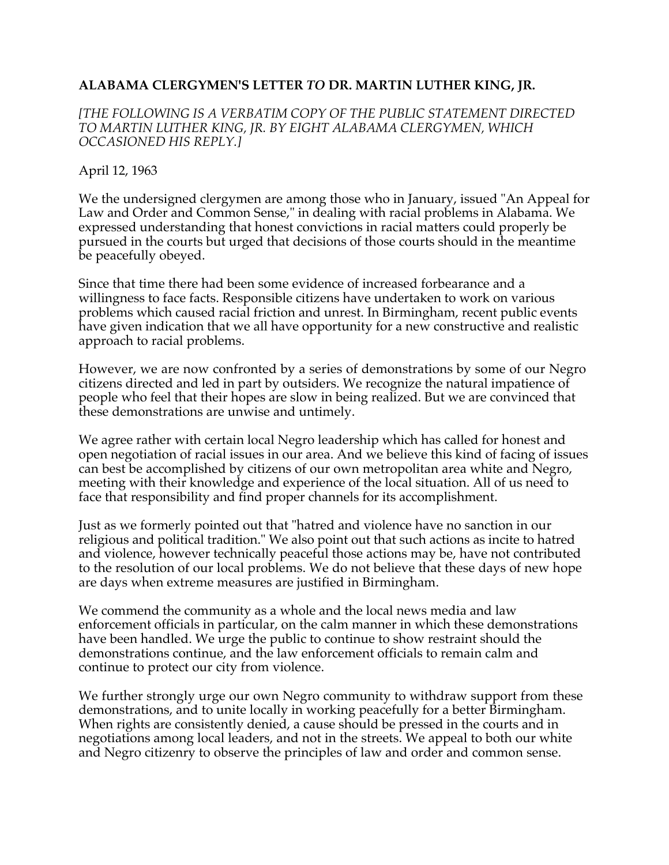## **ALABAMA CLERGYMEN'S LETTER** *TO* **DR. MARTIN LUTHER KING, JR.**

*[THE FOLLOWING IS A VERBATIM COPY OF THE PUBLIC STATEMENT DIRECTED TO MARTIN LUTHER KING, JR. BY EIGHT ALABAMA CLERGYMEN, WHICH OCCASIONED HIS REPLY.]* 

April 12, 1963

We the undersigned clergymen are among those who in January, issued "An Appeal for Law and Order and Common Sense," in dealing with racial problems in Alabama. We expressed understanding that honest convictions in racial matters could properly be pursued in the courts but urged that decisions of those courts should in the meantime be peacefully obeyed.

Since that time there had been some evidence of increased forbearance and a willingness to face facts. Responsible citizens have undertaken to work on various problems which caused racial friction and unrest. In Birmingham, recent public events have given indication that we all have opportunity for a new constructive and realistic approach to racial problems.

However, we are now confronted by a series of demonstrations by some of our Negro citizens directed and led in part by outsiders. We recognize the natural impatience of people who feel that their hopes are slow in being realized. But we are convinced that these demonstrations are unwise and untimely.

We agree rather with certain local Negro leadership which has called for honest and open negotiation of racial issues in our area. And we believe this kind of facing of issues can best be accomplished by citizens of our own metropolitan area white and Negro, meeting with their knowledge and experience of the local situation. All of us need to face that responsibility and find proper channels for its accomplishment.

Just as we formerly pointed out that "hatred and violence have no sanction in our religious and political tradition." We also point out that such actions as incite to hatred and violence, however technically peaceful those actions may be, have not contributed to the resolution of our local problems. We do not believe that these days of new hope are days when extreme measures are justified in Birmingham.

We commend the community as a whole and the local news media and law enforcement officials in particular, on the calm manner in which these demonstrations have been handled. We urge the public to continue to show restraint should the demonstrations continue, and the law enforcement officials to remain calm and continue to protect our city from violence.

We further strongly urge our own Negro community to withdraw support from these demonstrations, and to unite locally in working peacefully for a better Birmingham. When rights are consistently denied, a cause should be pressed in the courts and in negotiations among local leaders, and not in the streets. We appeal to both our white and Negro citizenry to observe the principles of law and order and common sense.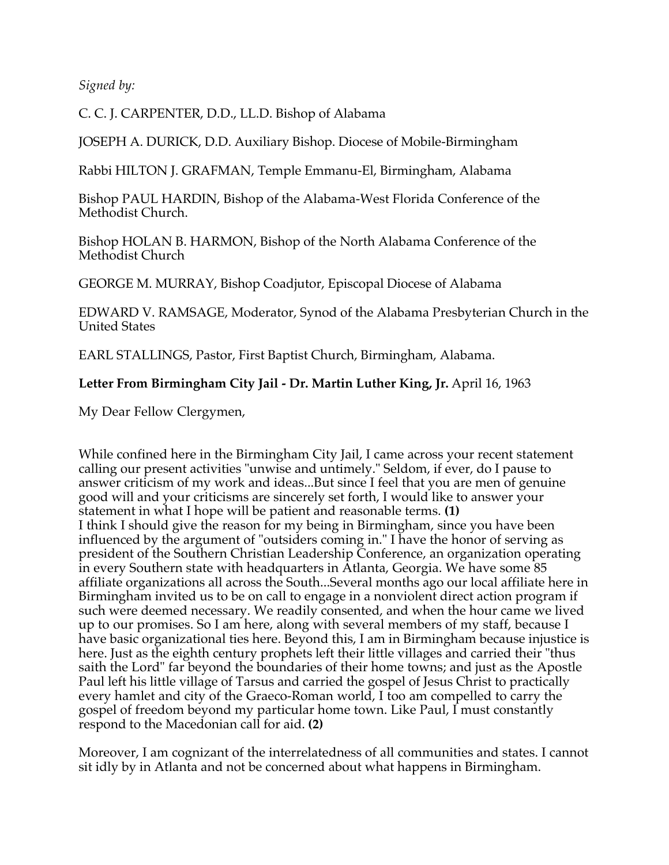*Signed by:* 

C. C. J. CARPENTER, D.D., LL.D. Bishop of Alabama

JOSEPH A. DURICK, D.D. Auxiliary Bishop. Diocese of Mobile-Birmingham

Rabbi HILTON J. GRAFMAN, Temple Emmanu-El, Birmingham, Alabama

Bishop PAUL HARDIN, Bishop of the Alabama-West Florida Conference of the Methodist Church.

Bishop HOLAN B. HARMON, Bishop of the North Alabama Conference of the Methodist Church

GEORGE M. MURRAY, Bishop Coadjutor, Episcopal Diocese of Alabama

EDWARD V. RAMSAGE, Moderator, Synod of the Alabama Presbyterian Church in the United States

EARL STALLINGS, Pastor, First Baptist Church, Birmingham, Alabama.

## **Letter From Birmingham City Jail - Dr. Martin Luther King, Jr.** April 16, 1963

My Dear Fellow Clergymen,

While confined here in the Birmingham City Jail, I came across your recent statement calling our present activities "unwise and untimely." Seldom, if ever, do I pause to answer criticism of my work and ideas...But since I feel that you are men of genuine good will and your criticisms are sincerely set forth, I would like to answer your statement in what I hope will be patient and reasonable terms. **(1)**  I think I should give the reason for my being in Birmingham, since you have been influenced by the argument of "outsiders coming in." I have the honor of serving as president of the Southern Christian Leadership Conference, an organization operating in every Southern state with headquarters in Atlanta, Georgia. We have some 85 affiliate organizations all across the South...Several months ago our local affiliate here in Birmingham invited us to be on call to engage in a nonviolent direct action program if such were deemed necessary. We readily consented, and when the hour came we lived up to our promises. So I am here, along with several members of my staff, because I have basic organizational ties here. Beyond this, I am in Birmingham because injustice is here. Just as the eighth century prophets left their little villages and carried their "thus saith the Lord" far beyond the boundaries of their home towns; and just as the Apostle Paul left his little village of Tarsus and carried the gospel of Jesus Christ to practically every hamlet and city of the Graeco-Roman world, I too am compelled to carry the gospel of freedom beyond my particular home town. Like Paul, I must constantly respond to the Macedonian call for aid. **(2)** 

Moreover, I am cognizant of the interrelatedness of all communities and states. I cannot sit idly by in Atlanta and not be concerned about what happens in Birmingham.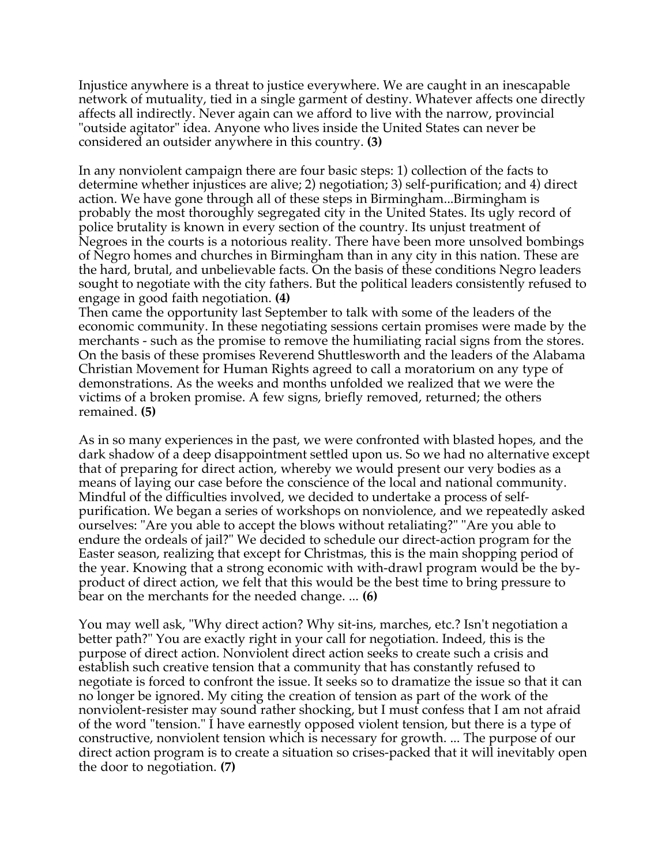Injustice anywhere is a threat to justice everywhere. We are caught in an inescapable network of mutuality, tied in a single garment of destiny. Whatever affects one directly affects all indirectly. Never again can we afford to live with the narrow, provincial "outside agitator" idea. Anyone who lives inside the United States can never be considered an outsider anywhere in this country. **(3)** 

In any nonviolent campaign there are four basic steps: 1) collection of the facts to determine whether injustices are alive; 2) negotiation; 3) self-purification; and 4) direct action. We have gone through all of these steps in Birmingham...Birmingham is probably the most thoroughly segregated city in the United States. Its ugly record of police brutality is known in every section of the country. Its unjust treatment of Negroes in the courts is a notorious reality. There have been more unsolved bombings of Negro homes and churches in Birmingham than in any city in this nation. These are the hard, brutal, and unbelievable facts. On the basis of these conditions Negro leaders sought to negotiate with the city fathers. But the political leaders consistently refused to engage in good faith negotiation. **(4)** 

Then came the opportunity last September to talk with some of the leaders of the economic community. In these negotiating sessions certain promises were made by the merchants - such as the promise to remove the humiliating racial signs from the stores. On the basis of these promises Reverend Shuttlesworth and the leaders of the Alabama Christian Movement for Human Rights agreed to call a moratorium on any type of demonstrations. As the weeks and months unfolded we realized that we were the victims of a broken promise. A few signs, briefly removed, returned; the others remained. **(5)** 

As in so many experiences in the past, we were confronted with blasted hopes, and the dark shadow of a deep disappointment settled upon us. So we had no alternative except that of preparing for direct action, whereby we would present our very bodies as a means of laying our case before the conscience of the local and national community. Mindful of the difficulties involved, we decided to undertake a process of selfpurification. We began a series of workshops on nonviolence, and we repeatedly asked ourselves: "Are you able to accept the blows without retaliating?" "Are you able to endure the ordeals of jail?" We decided to schedule our direct-action program for the Easter season, realizing that except for Christmas, this is the main shopping period of the year. Knowing that a strong economic with with-drawl program would be the byproduct of direct action, we felt that this would be the best time to bring pressure to bear on the merchants for the needed change. ... **(6)** 

You may well ask, "Why direct action? Why sit-ins, marches, etc.? Isn't negotiation a better path?" You are exactly right in your call for negotiation. Indeed, this is the purpose of direct action. Nonviolent direct action seeks to create such a crisis and establish such creative tension that a community that has constantly refused to negotiate is forced to confront the issue. It seeks so to dramatize the issue so that it can no longer be ignored. My citing the creation of tension as part of the work of the nonviolent-resister may sound rather shocking, but I must confess that I am not afraid of the word "tension." I have earnestly opposed violent tension, but there is a type of constructive, nonviolent tension which is necessary for growth. ... The purpose of our direct action program is to create a situation so crises-packed that it will inevitably open the door to negotiation. **(7)**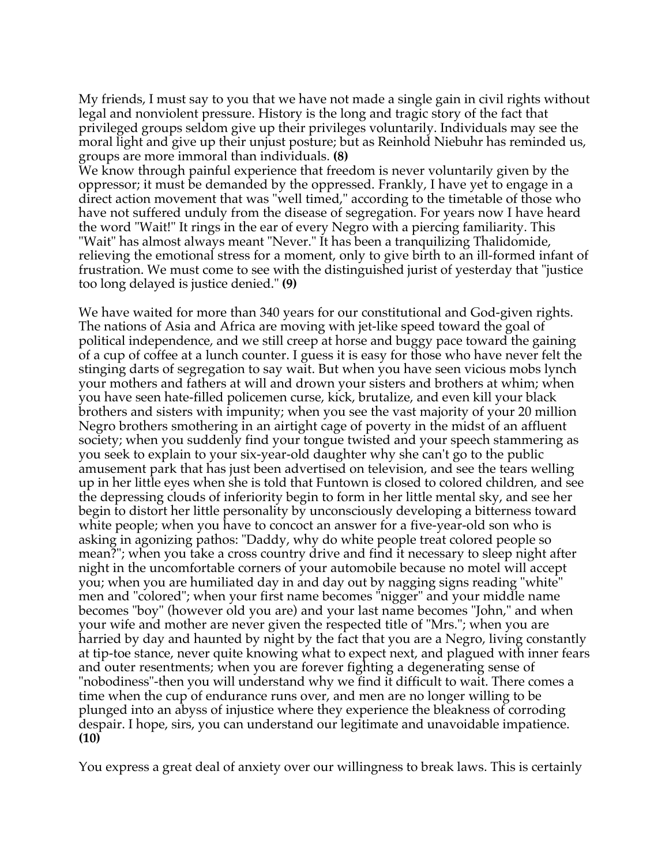My friends, I must say to you that we have not made a single gain in civil rights without legal and nonviolent pressure. History is the long and tragic story of the fact that privileged groups seldom give up their privileges voluntarily. Individuals may see the moral light and give up their unjust posture; but as Reinhold Niebuhr has reminded us, groups are more immoral than individuals. **(8)** 

We know through painful experience that freedom is never voluntarily given by the oppressor; it must be demanded by the oppressed. Frankly, I have yet to engage in a direct action movement that was "well timed," according to the timetable of those who have not suffered unduly from the disease of segregation. For years now I have heard the word "Wait!" It rings in the ear of every Negro with a piercing familiarity. This "Wait" has almost always meant "Never." It has been a tranquilizing Thalidomide, relieving the emotional stress for a moment, only to give birth to an ill-formed infant of frustration. We must come to see with the distinguished jurist of yesterday that "justice too long delayed is justice denied." **(9)** 

We have waited for more than 340 years for our constitutional and God-given rights. The nations of Asia and Africa are moving with jet-like speed toward the goal of political independence, and we still creep at horse and buggy pace toward the gaining of a cup of coffee at a lunch counter. I guess it is easy for those who have never felt the stinging darts of segregation to say wait. But when you have seen vicious mobs lynch your mothers and fathers at will and drown your sisters and brothers at whim; when you have seen hate-filled policemen curse, kick, brutalize, and even kill your black brothers and sisters with impunity; when you see the vast majority of your 20 million Negro brothers smothering in an airtight cage of poverty in the midst of an affluent society; when you suddenly find your tongue twisted and your speech stammering as you seek to explain to your six-year-old daughter why she can't go to the public amusement park that has just been advertised on television, and see the tears welling up in her little eyes when she is told that Funtown is closed to colored children, and see the depressing clouds of inferiority begin to form in her little mental sky, and see her begin to distort her little personality by unconsciously developing a bitterness toward white people; when you have to concoct an answer for a five-year-old son who is asking in agonizing pathos: "Daddy, why do white people treat colored people so mean?"; when you take a cross country drive and find it necessary to sleep night after night in the uncomfortable corners of your automobile because no motel will accept you; when you are humiliated day in and day out by nagging signs reading "white" men and "colored"; when your first name becomes "nigger" and your middle name becomes "boy" (however old you are) and your last name becomes "John," and when your wife and mother are never given the respected title of "Mrs."; when you are harried by day and haunted by night by the fact that you are a Negro, living constantly at tip-toe stance, never quite knowing what to expect next, and plagued with inner fears and outer resentments; when you are forever fighting a degenerating sense of "nobodiness"-then you will understand why we find it difficult to wait. There comes a time when the cup of endurance runs over, and men are no longer willing to be plunged into an abyss of injustice where they experience the bleakness of corroding despair. I hope, sirs, you can understand our legitimate and unavoidable impatience. **(10)** 

You express a great deal of anxiety over our willingness to break laws. This is certainly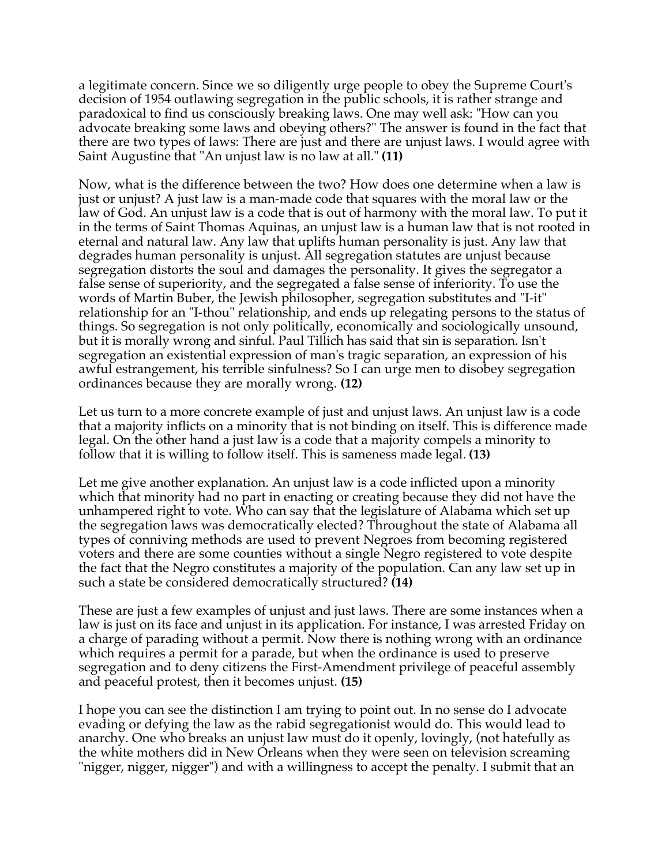a legitimate concern. Since we so diligently urge people to obey the Supreme Court's decision of 1954 outlawing segregation in the public schools, it is rather strange and paradoxical to find us consciously breaking laws. One may well ask: "How can you advocate breaking some laws and obeying others?" The answer is found in the fact that there are two types of laws: There are just and there are unjust laws. I would agree with Saint Augustine that "An unjust law is no law at all." **(11)** 

Now, what is the difference between the two? How does one determine when a law is just or unjust? A just law is a man-made code that squares with the moral law or the law of God. An unjust law is a code that is out of harmony with the moral law. To put it in the terms of Saint Thomas Aquinas, an unjust law is a human law that is not rooted in eternal and natural law. Any law that uplifts human personality is just. Any law that degrades human personality is unjust. All segregation statutes are unjust because segregation distorts the soul and damages the personality. It gives the segregator a false sense of superiority, and the segregated a false sense of inferiority. To use the words of Martin Buber, the Jewish philosopher, segregation substitutes and "I-it" relationship for an "I-thou" relationship, and ends up relegating persons to the status of things. So segregation is not only politically, economically and sociologically unsound, but it is morally wrong and sinful. Paul Tillich has said that sin is separation. Isn't segregation an existential expression of man's tragic separation, an expression of his awful estrangement, his terrible sinfulness? So I can urge men to disobey segregation ordinances because they are morally wrong. **(12)** 

Let us turn to a more concrete example of just and unjust laws. An unjust law is a code that a majority inflicts on a minority that is not binding on itself. This is difference made legal. On the other hand a just law is a code that a majority compels a minority to follow that it is willing to follow itself. This is sameness made legal. **(13)** 

Let me give another explanation. An unjust law is a code inflicted upon a minority which that minority had no part in enacting or creating because they did not have the unhampered right to vote. Who can say that the legislature of Alabama which set up the segregation laws was democratically elected? Throughout the state of Alabama all types of conniving methods are used to prevent Negroes from becoming registered voters and there are some counties without a single Negro registered to vote despite the fact that the Negro constitutes a majority of the population. Can any law set up in such a state be considered democratically structured? **(14)** 

These are just a few examples of unjust and just laws. There are some instances when a law is just on its face and unjust in its application. For instance, I was arrested Friday on a charge of parading without a permit. Now there is nothing wrong with an ordinance which requires a permit for a parade, but when the ordinance is used to preserve segregation and to deny citizens the First-Amendment privilege of peaceful assembly and peaceful protest, then it becomes unjust. **(15)** 

I hope you can see the distinction I am trying to point out. In no sense do I advocate evading or defying the law as the rabid segregationist would do. This would lead to anarchy. One who breaks an unjust law must do it openly, lovingly, (not hatefully as the white mothers did in New Orleans when they were seen on television screaming "nigger, nigger, nigger") and with a willingness to accept the penalty. I submit that an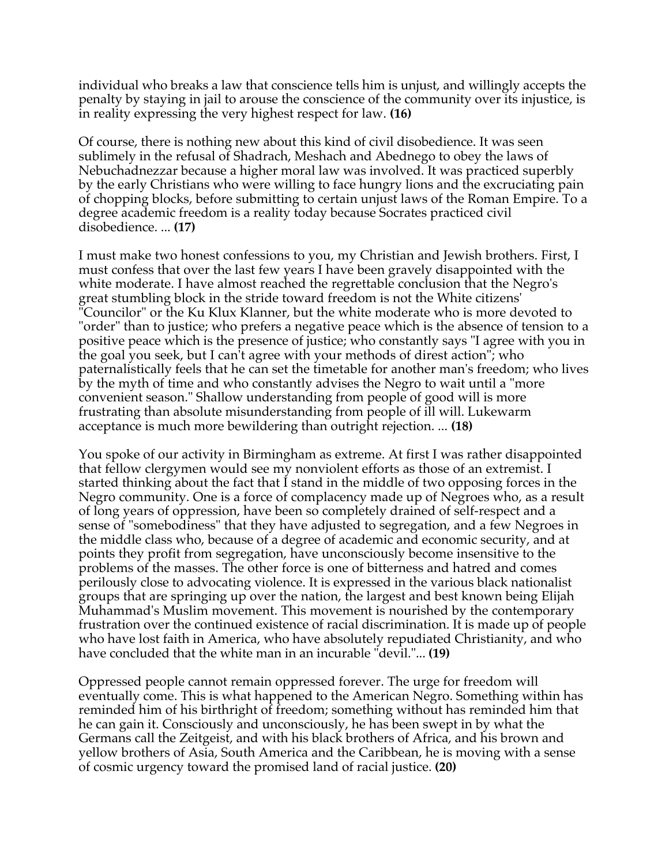individual who breaks a law that conscience tells him is unjust, and willingly accepts the penalty by staying in jail to arouse the conscience of the community over its injustice, is in reality expressing the very highest respect for law. **(16)** 

Of course, there is nothing new about this kind of civil disobedience. It was seen sublimely in the refusal of Shadrach, Meshach and Abednego to obey the laws of Nebuchadnezzar because a higher moral law was involved. It was practiced superbly by the early Christians who were willing to face hungry lions and the excruciating pain of chopping blocks, before submitting to certain unjust laws of the Roman Empire. To a degree academic freedom is a reality today because Socrates practiced civil disobedience. ... **(17)** 

I must make two honest confessions to you, my Christian and Jewish brothers. First, I must confess that over the last few years I have been gravely disappointed with the white moderate. I have almost reached the regrettable conclusion that the Negro's great stumbling block in the stride toward freedom is not the White citizens' "Councilor" or the Ku Klux Klanner, but the white moderate who is more devoted to "order" than to justice; who prefers a negative peace which is the absence of tension to a positive peace which is the presence of justice; who constantly says "I agree with you in the goal you seek, but I can't agree with your methods of direst action"; who paternalistically feels that he can set the timetable for another man's freedom; who lives by the myth of time and who constantly advises the Negro to wait until a "more convenient season." Shallow understanding from people of good will is more frustrating than absolute misunderstanding from people of ill will. Lukewarm acceptance is much more bewildering than outright rejection. ... **(18)** 

You spoke of our activity in Birmingham as extreme. At first I was rather disappointed that fellow clergymen would see my nonviolent efforts as those of an extremist. I started thinking about the fact that I stand in the middle of two opposing forces in the Negro community. One is a force of complacency made up of Negroes who, as a result of long years of oppression, have been so completely drained of self-respect and a sense of "somebodiness" that they have adjusted to segregation, and a few Negroes in the middle class who, because of a degree of academic and economic security, and at points they profit from segregation, have unconsciously become insensitive to the problems of the masses. The other force is one of bitterness and hatred and comes perilously close to advocating violence. It is expressed in the various black nationalist groups that are springing up over the nation, the largest and best known being Elijah Muhammad's Muslim movement. This movement is nourished by the contemporary frustration over the continued existence of racial discrimination. It is made up of people who have lost faith in America, who have absolutely repudiated Christianity, and who have concluded that the white man in an incurable "devil."... **(19)** 

Oppressed people cannot remain oppressed forever. The urge for freedom will eventually come. This is what happened to the American Negro. Something within has reminded him of his birthright of freedom; something without has reminded him that he can gain it. Consciously and unconsciously, he has been swept in by what the Germans call the Zeitgeist, and with his black brothers of Africa, and his brown and yellow brothers of Asia, South America and the Caribbean, he is moving with a sense of cosmic urgency toward the promised land of racial justice. **(20)**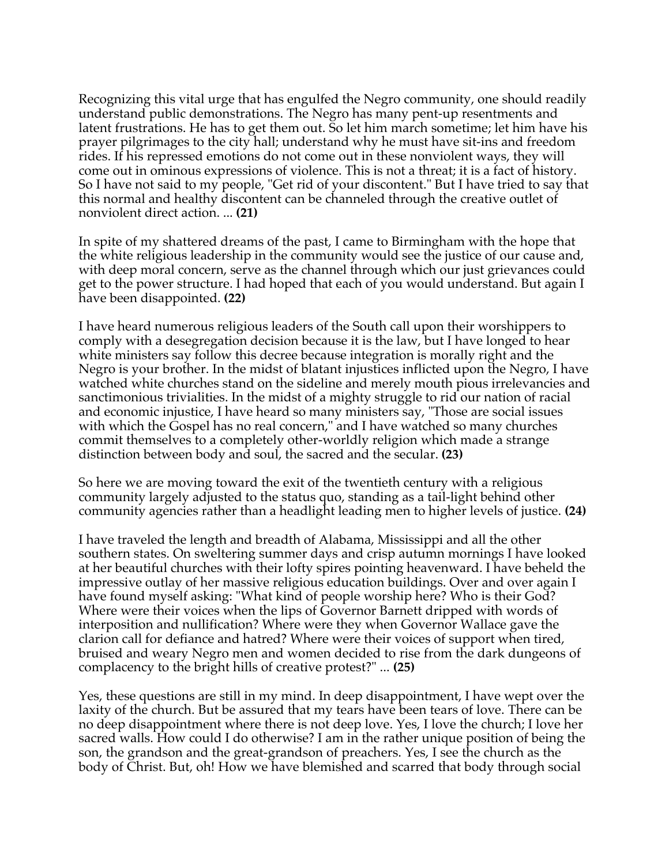Recognizing this vital urge that has engulfed the Negro community, one should readily understand public demonstrations. The Negro has many pent-up resentments and latent frustrations. He has to get them out. So let him march sometime; let him have his prayer pilgrimages to the city hall; understand why he must have sit-ins and freedom rides. If his repressed emotions do not come out in these nonviolent ways, they will come out in ominous expressions of violence. This is not a threat; it is a fact of history. So I have not said to my people, "Get rid of your discontent." But I have tried to say that this normal and healthy discontent can be channeled through the creative outlet of nonviolent direct action. ... **(21)** 

In spite of my shattered dreams of the past, I came to Birmingham with the hope that the white religious leadership in the community would see the justice of our cause and, with deep moral concern, serve as the channel through which our just grievances could get to the power structure. I had hoped that each of you would understand. But again I have been disappointed. **(22)** 

I have heard numerous religious leaders of the South call upon their worshippers to comply with a desegregation decision because it is the law, but I have longed to hear white ministers say follow this decree because integration is morally right and the Negro is your brother. In the midst of blatant injustices inflicted upon the Negro, I have watched white churches stand on the sideline and merely mouth pious irrelevancies and sanctimonious trivialities. In the midst of a mighty struggle to rid our nation of racial and economic injustice, I have heard so many ministers say, "Those are social issues with which the Gospel has no real concern," and I have watched so many churches commit themselves to a completely other-worldly religion which made a strange distinction between body and soul, the sacred and the secular. **(23)** 

So here we are moving toward the exit of the twentieth century with a religious community largely adjusted to the status quo, standing as a tail-light behind other community agencies rather than a headlight leading men to higher levels of justice. **(24)** 

I have traveled the length and breadth of Alabama, Mississippi and all the other southern states. On sweltering summer days and crisp autumn mornings I have looked at her beautiful churches with their lofty spires pointing heavenward. I have beheld the impressive outlay of her massive religious education buildings. Over and over again I have found myself asking: "What kind of people worship here? Who is their God? Where were their voices when the lips of Governor Barnett dripped with words of interposition and nullification? Where were they when Governor Wallace gave the clarion call for defiance and hatred? Where were their voices of support when tired, bruised and weary Negro men and women decided to rise from the dark dungeons of complacency to the bright hills of creative protest?" ... **(25)** 

Yes, these questions are still in my mind. In deep disappointment, I have wept over the laxity of the church. But be assured that my tears have been tears of love. There can be no deep disappointment where there is not deep love. Yes, I love the church; I love her sacred walls. How could I do otherwise? I am in the rather unique position of being the son, the grandson and the great-grandson of preachers. Yes, I see the church as the body of Christ. But, oh! How we have blemished and scarred that body through social